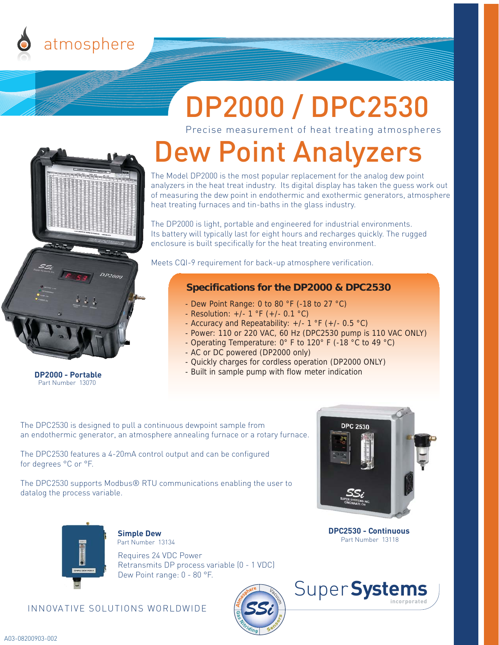

# DP2000 / DPC2530

Precise measurement of heat treating atmospheres

## Dew Point Analyzers

or measuring the dew point in endothermic and exothermic<br>heat treating furnaces and tin-baths in the glass industry. The Model DP2000 is the most popular replacement for the analog dew point analyzers in the heat treat industry. Its digital display has taken the guess work out of measuring the dew point in endothermic and exothermic generators, atmosphere

 Its battery will typically last for eight hours and recharges quickly. The rugged enclosure is built specifically for the heat treating environment. The DP2000 is light, portable and engineered for industrial environments.

Meets CQI-9 requirement for back-up atmosphere verification.

#### **Specifications for the DP2000 & DPC2530**

- Dew Point Range: 0 to 80 °F (-18 to 27 °C)
- Resolution: +/- 1 °F (+/- 0.1 °C)
- Accuracy and Repeatability: +/- 1 °F (+/- 0.5 °C)
- Power: 110 or 220 VAC, 60 Hz (DPC2530 pump is 110 VAC ONLY)
- Operating Temperature: 0° F to 120° F (-18 °C to 49 °C)
- AC or DC powered (DP2000 only)
- Quickly charges for cordless operation (DP2000 ONLY)
- Built in sample pump with flow meter indication

 The DPC2530 is designed to pull a continuous dewpoint sample from an endothermic generator, an atmosphere annealing furnace or a rotary furnace.

 The DPC2530 features a 4-20mA control output and can be configured for degrees °C or °F.

Measured Gas

 The DPC2530 supports Modbus® RTU communications enabling the user to datalog the process variable.



**DPC2530 - Continuous** Part Number 13118



Part Part Number 13070

**DP2000 - Portable**

#### **Simple Dew**

Requires 24 VDC Power Retransmits DP process variable (0 - 1 VDC) Dew Point range: 0 - 80 °F. Part Number 13134

#### INNOVATIVE SOLUTIONS WORLDWIDE



Super**Systems incorporated**